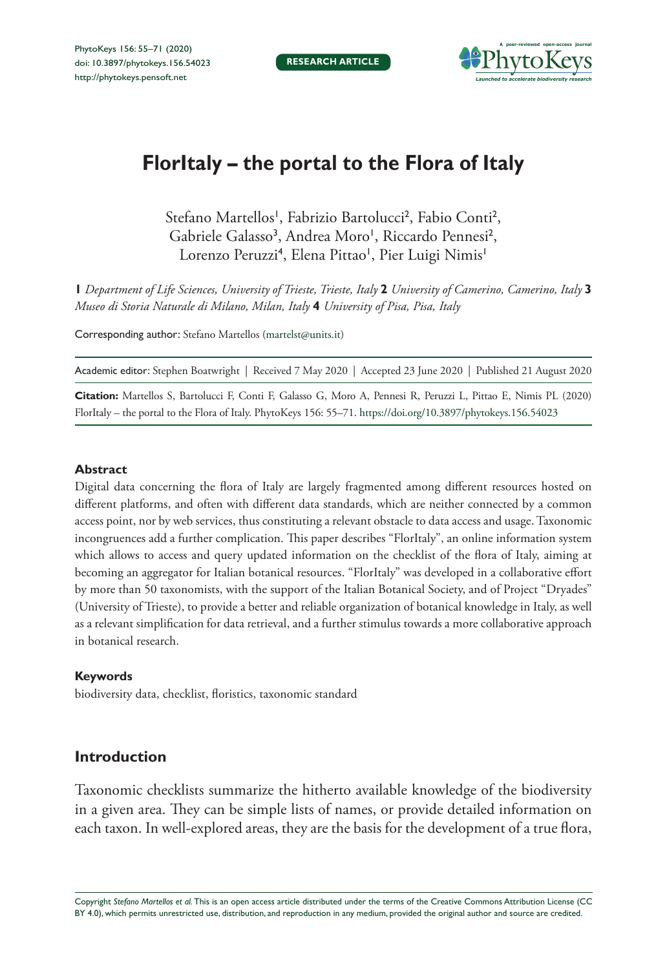

# **FlorItaly – the portal to the Flora of Italy**

Stefano Martellos', Fabrizio Bartolucci<sup>2</sup>, Fabio Conti<sup>2</sup>, Gabriele Galasso<sup>3</sup>, Andrea Moro<sup>1</sup>, Riccardo Pennesi<sup>2</sup>, Lorenzo Peruzzi<sup>4</sup>, Elena Pittao', Pier Luigi Nimis'

**1** *Department of Life Sciences, University of Trieste, Trieste, Italy* **2** *University of Camerino, Camerino, Italy* **3**  *Museo di Storia Naturale di Milano, Milan, Italy* **4** *University of Pisa, Pisa, Italy*

Corresponding author: Stefano Martellos ([martelst@units.it\)](mailto:martelst@units.it)

Academic editor: Stephen Boatwright | Received 7 May 2020 | Accepted 23 June 2020 | Published 21 August 2020

**Citation:** Martellos S, Bartolucci F, Conti F, Galasso G, Moro A, Pennesi R, Peruzzi L, Pittao E, Nimis PL (2020) FlorItaly – the portal to the Flora of Italy. PhytoKeys 156: 55–71.<https://doi.org/10.3897/phytokeys.156.54023>

### **Abstract**

Digital data concerning the flora of Italy are largely fragmented among different resources hosted on different platforms, and often with different data standards, which are neither connected by a common access point, nor by web services, thus constituting a relevant obstacle to data access and usage. Taxonomic incongruences add a further complication. This paper describes "FlorItaly", an online information system which allows to access and query updated information on the checklist of the flora of Italy, aiming at becoming an aggregator for Italian botanical resources. "FlorItaly" was developed in a collaborative effort by more than 50 taxonomists, with the support of the Italian Botanical Society, and of Project "Dryades" (University of Trieste), to provide a better and reliable organization of botanical knowledge in Italy, as well as a relevant simplification for data retrieval, and a further stimulus towards a more collaborative approach in botanical research.

#### **Keywords**

biodiversity data, checklist, floristics, taxonomic standard

## **Introduction**

Taxonomic checklists summarize the hitherto available knowledge of the biodiversity in a given area. They can be simple lists of names, or provide detailed information on each taxon. In well-explored areas, they are the basis for the development of a true flora,

Copyright *Stefano Martellos et al.* This is an open access article distributed under the terms of the [Creative Commons Attribution License \(CC](http://creativecommons.org/licenses/by/4.0/)  [BY 4.0\)](http://creativecommons.org/licenses/by/4.0/), which permits unrestricted use, distribution, and reproduction in any medium, provided the original author and source are credited.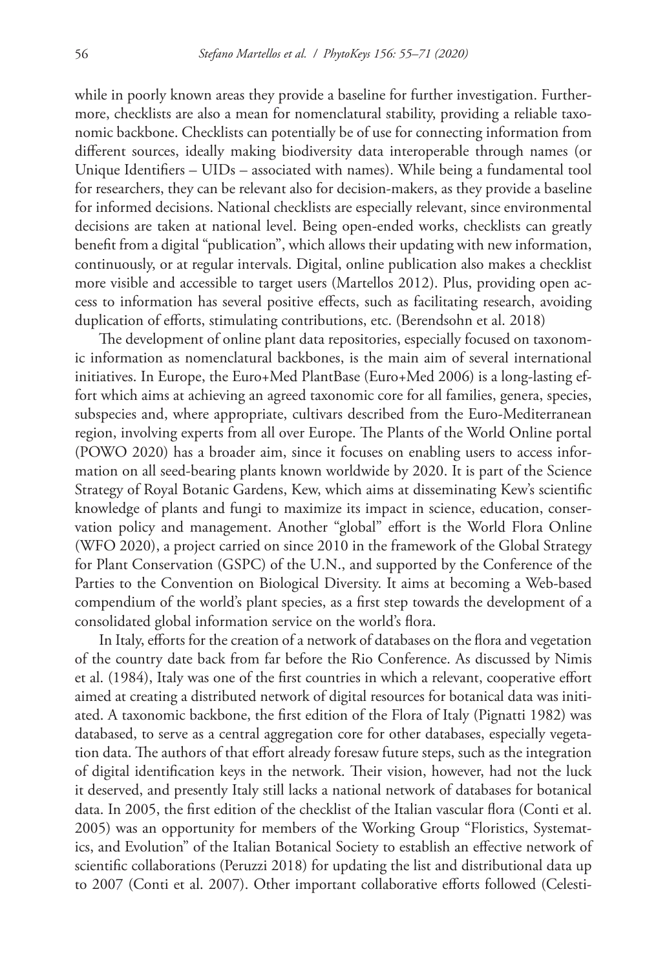while in poorly known areas they provide a baseline for further investigation. Furthermore, checklists are also a mean for nomenclatural stability, providing a reliable taxonomic backbone. Checklists can potentially be of use for connecting information from different sources, ideally making biodiversity data interoperable through names (or Unique Identifiers – UIDs – associated with names). While being a fundamental tool for researchers, they can be relevant also for decision-makers, as they provide a baseline for informed decisions. National checklists are especially relevant, since environmental decisions are taken at national level. Being open-ended works, checklists can greatly benefit from a digital "publication", which allows their updating with new information, continuously, or at regular intervals. Digital, online publication also makes a checklist more visible and accessible to target users (Martellos 2012). Plus, providing open access to information has several positive effects, such as facilitating research, avoiding duplication of efforts, stimulating contributions, etc. (Berendsohn et al. 2018)

The development of online plant data repositories, especially focused on taxonomic information as nomenclatural backbones, is the main aim of several international initiatives. In Europe, the Euro+Med PlantBase (Euro+Med 2006) is a long-lasting effort which aims at achieving an agreed taxonomic core for all families, genera, species, subspecies and, where appropriate, cultivars described from the Euro-Mediterranean region, involving experts from all over Europe. The Plants of the World Online portal (POWO 2020) has a broader aim, since it focuses on enabling users to access information on all seed-bearing plants known worldwide by 2020. It is part of the Science Strategy of Royal Botanic Gardens, Kew, which aims at disseminating Kew's scientific knowledge of plants and fungi to maximize its impact in science, education, conservation policy and management. Another "global" effort is the World Flora Online (WFO 2020), a project carried on since 2010 in the framework of the Global Strategy for Plant Conservation (GSPC) of the U.N., and supported by the Conference of the Parties to the Convention on Biological Diversity. It aims at becoming a Web-based compendium of the world's plant species, as a first step towards the development of a consolidated global information service on the world's flora.

In Italy, efforts for the creation of a network of databases on the flora and vegetation of the country date back from far before the Rio Conference. As discussed by Nimis et al. (1984), Italy was one of the first countries in which a relevant, cooperative effort aimed at creating a distributed network of digital resources for botanical data was initiated. A taxonomic backbone, the first edition of the Flora of Italy (Pignatti 1982) was databased, to serve as a central aggregation core for other databases, especially vegetation data. The authors of that effort already foresaw future steps, such as the integration of digital identification keys in the network. Their vision, however, had not the luck it deserved, and presently Italy still lacks a national network of databases for botanical data. In 2005, the first edition of the checklist of the Italian vascular flora (Conti et al. 2005) was an opportunity for members of the Working Group "Floristics, Systematics, and Evolution" of the Italian Botanical Society to establish an effective network of scientific collaborations (Peruzzi 2018) for updating the list and distributional data up to 2007 (Conti et al. 2007). Other important collaborative efforts followed (Celesti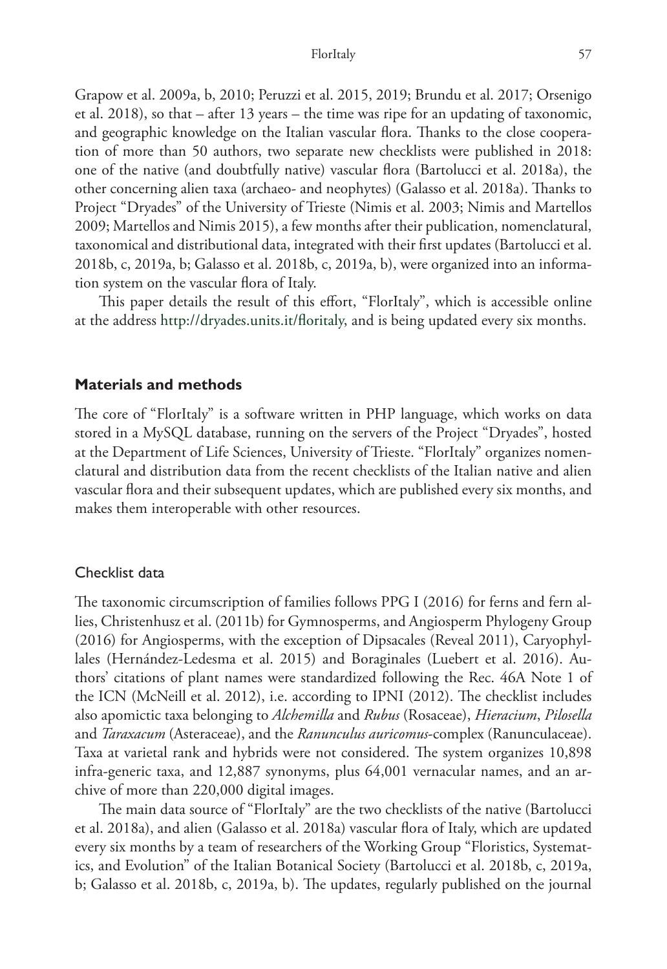Grapow et al. 2009a, b, 2010; Peruzzi et al. 2015, 2019; Brundu et al. 2017; Orsenigo et al. 2018), so that – after 13 years – the time was ripe for an updating of taxonomic, and geographic knowledge on the Italian vascular flora. Thanks to the close cooperation of more than 50 authors, two separate new checklists were published in 2018: one of the native (and doubtfully native) vascular flora (Bartolucci et al. 2018a), the other concerning alien taxa (archaeo- and neophytes) (Galasso et al. 2018a). Thanks to Project "Dryades" of the University of Trieste (Nimis et al. 2003; Nimis and Martellos 2009; Martellos and Nimis 2015), a few months after their publication, nomenclatural, taxonomical and distributional data, integrated with their first updates (Bartolucci et al. 2018b, c, 2019a, b; Galasso et al. 2018b, c, 2019a, b), were organized into an information system on the vascular flora of Italy.

This paper details the result of this effort, "FlorItaly", which is accessible online at the address <http://dryades.units.it/floritaly>, and is being updated every six months.

## **Materials and methods**

The core of "FlorItaly" is a software written in PHP language, which works on data stored in a MySQL database, running on the servers of the Project "Dryades", hosted at the Department of Life Sciences, University of Trieste. "FlorItaly" organizes nomenclatural and distribution data from the recent checklists of the Italian native and alien vascular flora and their subsequent updates, which are published every six months, and makes them interoperable with other resources.

#### Checklist data

The taxonomic circumscription of families follows PPG I (2016) for ferns and fern allies, Christenhusz et al. (2011b) for Gymnosperms, and Angiosperm Phylogeny Group (2016) for Angiosperms, with the exception of Dipsacales (Reveal 2011), Caryophyllales (Hernández-Ledesma et al. 2015) and Boraginales (Luebert et al. 2016). Authors' citations of plant names were standardized following the Rec. 46A Note 1 of the ICN (McNeill et al. 2012), i.e. according to IPNI (2012). The checklist includes also apomictic taxa belonging to *Alchemilla* and *Rubus* (Rosaceae), *Hieracium*, *Pilosella* and *Taraxacum* (Asteraceae), and the *Ranunculus auricomus*-complex (Ranunculaceae). Taxa at varietal rank and hybrids were not considered. The system organizes 10,898 infra-generic taxa, and 12,887 synonyms, plus 64,001 vernacular names, and an archive of more than 220,000 digital images.

The main data source of "FlorItaly" are the two checklists of the native (Bartolucci et al. 2018a), and alien (Galasso et al. 2018a) vascular flora of Italy, which are updated every six months by a team of researchers of the Working Group "Floristics, Systematics, and Evolution" of the Italian Botanical Society (Bartolucci et al. 2018b, c, 2019a, b; Galasso et al. 2018b, c, 2019a, b). The updates, regularly published on the journal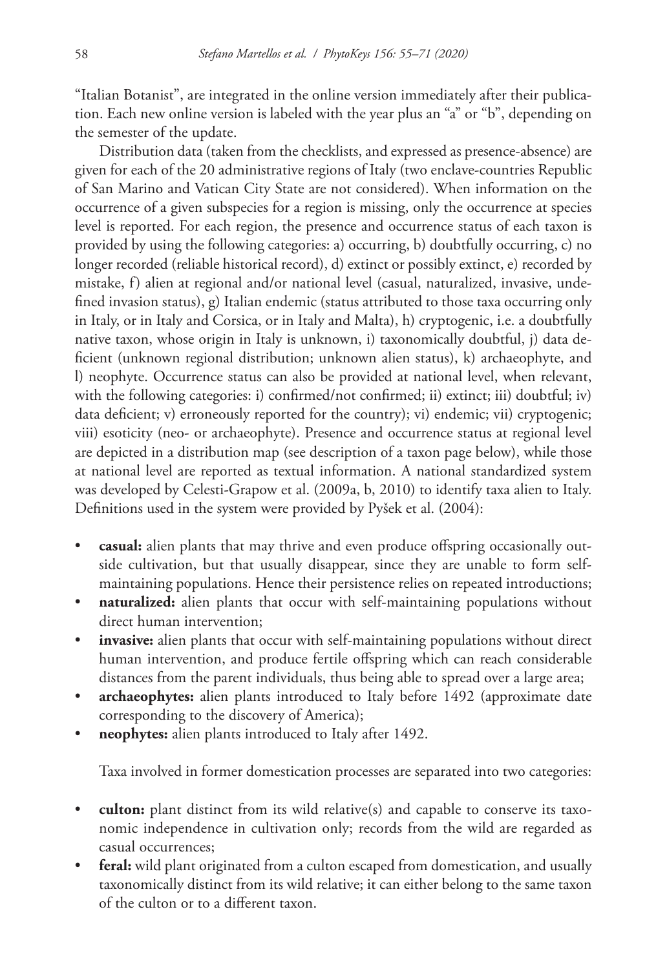"Italian Botanist", are integrated in the online version immediately after their publication. Each new online version is labeled with the year plus an "a" or "b", depending on the semester of the update.

Distribution data (taken from the checklists, and expressed as presence-absence) are given for each of the 20 administrative regions of Italy (two enclave-countries Republic of San Marino and Vatican City State are not considered). When information on the occurrence of a given subspecies for a region is missing, only the occurrence at species level is reported. For each region, the presence and occurrence status of each taxon is provided by using the following categories: a) occurring, b) doubtfully occurring, c) no longer recorded (reliable historical record), d) extinct or possibly extinct, e) recorded by mistake, f) alien at regional and/or national level (casual, naturalized, invasive, undefined invasion status), g) Italian endemic (status attributed to those taxa occurring only in Italy, or in Italy and Corsica, or in Italy and Malta), h) cryptogenic, i.e. a doubtfully native taxon, whose origin in Italy is unknown, i) taxonomically doubtful, j) data deficient (unknown regional distribution; unknown alien status), k) archaeophyte, and l) neophyte. Occurrence status can also be provided at national level, when relevant, with the following categories: i) confirmed/not confirmed; ii) extinct; iii) doubtful; iv) data deficient; v) erroneously reported for the country); vi) endemic; vii) cryptogenic; viii) esoticity (neo- or archaeophyte). Presence and occurrence status at regional level are depicted in a distribution map (see description of a taxon page below), while those at national level are reported as textual information. A national standardized system was developed by Celesti-Grapow et al. (2009a, b, 2010) to identify taxa alien to Italy. Definitions used in the system were provided by Pyšek et al. (2004):

- **casual:** alien plants that may thrive and even produce offspring occasionally outside cultivation, but that usually disappear, since they are unable to form selfmaintaining populations. Hence their persistence relies on repeated introductions;
- **naturalized:** alien plants that occur with self-maintaining populations without direct human intervention;
- invasive: alien plants that occur with self-maintaining populations without direct human intervention, and produce fertile offspring which can reach considerable distances from the parent individuals, thus being able to spread over a large area;
- **archaeophytes:** alien plants introduced to Italy before 1492 (approximate date corresponding to the discovery of America);
- **neophytes:** alien plants introduced to Italy after 1492.

Taxa involved in former domestication processes are separated into two categories:

- **culton:** plant distinct from its wild relative(s) and capable to conserve its taxonomic independence in cultivation only; records from the wild are regarded as casual occurrences;
- **feral:** wild plant originated from a culton escaped from domestication, and usually taxonomically distinct from its wild relative; it can either belong to the same taxon of the culton or to a different taxon.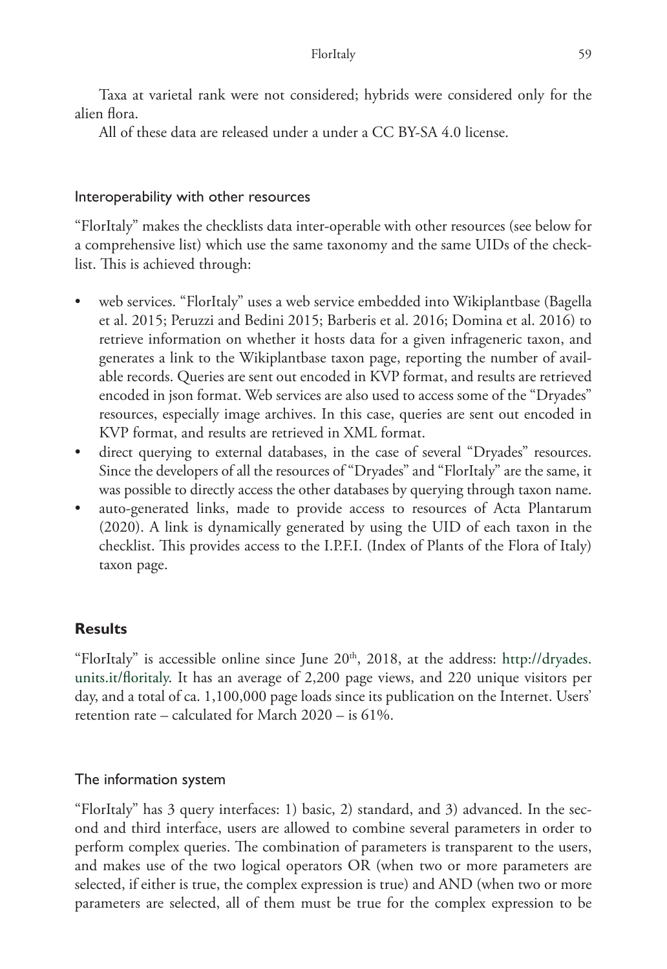Taxa at varietal rank were not considered; hybrids were considered only for the alien flora.

All of these data are released under a under a CC BY-SA 4.0 license.

## Interoperability with other resources

"FlorItaly" makes the checklists data inter-operable with other resources (see below for a comprehensive list) which use the same taxonomy and the same UIDs of the checklist. This is achieved through:

- web services. "FlorItaly" uses a web service embedded into Wikiplantbase (Bagella et al. 2015; Peruzzi and Bedini 2015; Barberis et al. 2016; Domina et al. 2016) to retrieve information on whether it hosts data for a given infrageneric taxon, and generates a link to the Wikiplantbase taxon page, reporting the number of available records. Queries are sent out encoded in KVP format, and results are retrieved encoded in json format. Web services are also used to access some of the "Dryades" resources, especially image archives. In this case, queries are sent out encoded in KVP format, and results are retrieved in XML format.
- direct querying to external databases, in the case of several "Dryades" resources. Since the developers of all the resources of "Dryades" and "FlorItaly" are the same, it was possible to directly access the other databases by querying through taxon name.
- auto-generated links, made to provide access to resources of Acta Plantarum (2020). A link is dynamically generated by using the UID of each taxon in the checklist. This provides access to the I.P.F.I. (Index of Plants of the Flora of Italy) taxon page.

# **Results**

"FlorItaly" is accessible online since June  $20<sup>th</sup>$ ,  $2018$ , at the address: [http://dryades.](http://dryades.units.it/floritaly) [units.it/floritaly](http://dryades.units.it/floritaly). It has an average of 2,200 page views, and 220 unique visitors per day, and a total of ca. 1,100,000 page loads since its publication on the Internet. Users' retention rate – calculated for March 2020 – is 61%.

# The information system

"FlorItaly" has 3 query interfaces: 1) basic, 2) standard, and 3) advanced. In the second and third interface, users are allowed to combine several parameters in order to perform complex queries. The combination of parameters is transparent to the users, and makes use of the two logical operators OR (when two or more parameters are selected, if either is true, the complex expression is true) and AND (when two or more parameters are selected, all of them must be true for the complex expression to be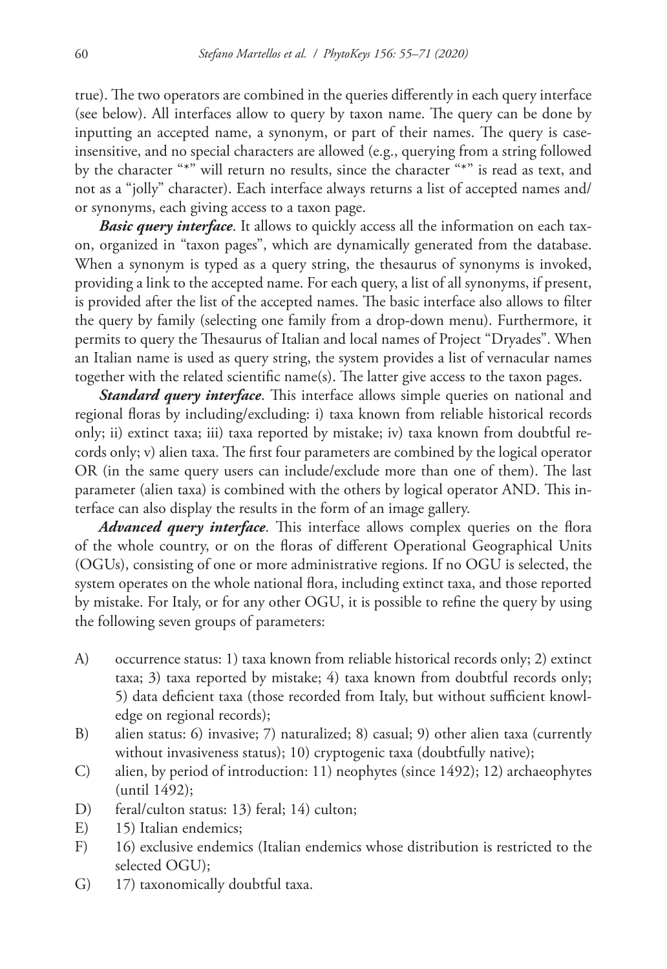true). The two operators are combined in the queries differently in each query interface (see below). All interfaces allow to query by taxon name. The query can be done by inputting an accepted name, a synonym, or part of their names. The query is caseinsensitive, and no special characters are allowed (e.g., querying from a string followed by the character "\*" will return no results, since the character "\*" is read as text, and not as a "jolly" character). Each interface always returns a list of accepted names and/ or synonyms, each giving access to a taxon page.

*Basic query interface*. It allows to quickly access all the information on each taxon, organized in "taxon pages", which are dynamically generated from the database. When a synonym is typed as a query string, the thesaurus of synonyms is invoked, providing a link to the accepted name. For each query, a list of all synonyms, if present, is provided after the list of the accepted names. The basic interface also allows to filter the query by family (selecting one family from a drop-down menu). Furthermore, it permits to query the Thesaurus of Italian and local names of Project "Dryades". When an Italian name is used as query string, the system provides a list of vernacular names together with the related scientific name(s). The latter give access to the taxon pages.

*Standard query interface*. This interface allows simple queries on national and regional floras by including/excluding: i) taxa known from reliable historical records only; ii) extinct taxa; iii) taxa reported by mistake; iv) taxa known from doubtful records only; v) alien taxa. The first four parameters are combined by the logical operator OR (in the same query users can include/exclude more than one of them). The last parameter (alien taxa) is combined with the others by logical operator AND. This interface can also display the results in the form of an image gallery.

*Advanced query interface*. This interface allows complex queries on the flora of the whole country, or on the floras of different Operational Geographical Units (OGUs), consisting of one or more administrative regions. If no OGU is selected, the system operates on the whole national flora, including extinct taxa, and those reported by mistake. For Italy, or for any other OGU, it is possible to refine the query by using the following seven groups of parameters:

- A) occurrence status: 1) taxa known from reliable historical records only; 2) extinct taxa; 3) taxa reported by mistake; 4) taxa known from doubtful records only; 5) data deficient taxa (those recorded from Italy, but without sufficient knowledge on regional records);
- B) alien status: 6) invasive; 7) naturalized; 8) casual; 9) other alien taxa (currently without invasiveness status); 10) cryptogenic taxa (doubtfully native);
- C) alien, by period of introduction: 11) neophytes (since 1492); 12) archaeophytes (until 1492);
- D) feral/culton status: 13) feral; 14) culton;
- E) 15) Italian endemics;
- F) 16) exclusive endemics (Italian endemics whose distribution is restricted to the selected OGU);
- G) 17) taxonomically doubtful taxa.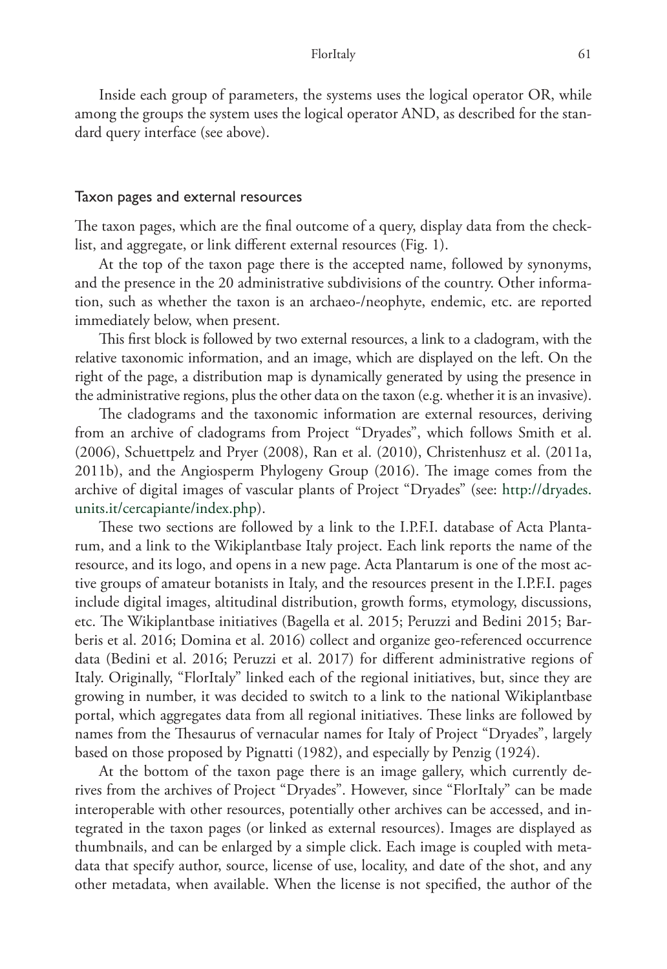Inside each group of parameters, the systems uses the logical operator OR, while among the groups the system uses the logical operator AND, as described for the standard query interface (see above).

#### Taxon pages and external resources

The taxon pages, which are the final outcome of a query, display data from the checklist, and aggregate, or link different external resources (Fig. 1).

At the top of the taxon page there is the accepted name, followed by synonyms, and the presence in the 20 administrative subdivisions of the country. Other information, such as whether the taxon is an archaeo-/neophyte, endemic, etc. are reported immediately below, when present.

This first block is followed by two external resources, a link to a cladogram, with the relative taxonomic information, and an image, which are displayed on the left. On the right of the page, a distribution map is dynamically generated by using the presence in the administrative regions, plus the other data on the taxon (e.g. whether it is an invasive).

The cladograms and the taxonomic information are external resources, deriving from an archive of cladograms from Project "Dryades", which follows Smith et al. (2006), Schuettpelz and Pryer (2008), Ran et al. (2010), Christenhusz et al. (2011a, 2011b), and the Angiosperm Phylogeny Group (2016). The image comes from the archive of digital images of vascular plants of Project "Dryades" (see: [http://dryades.](http://dryades.units.it/cercapiante/index.php) [units.it/cercapiante/index.php](http://dryades.units.it/cercapiante/index.php)).

These two sections are followed by a link to the I.P.F.I. database of Acta Plantarum, and a link to the Wikiplantbase Italy project. Each link reports the name of the resource, and its logo, and opens in a new page. Acta Plantarum is one of the most active groups of amateur botanists in Italy, and the resources present in the I.P.F.I. pages include digital images, altitudinal distribution, growth forms, etymology, discussions, etc. The Wikiplantbase initiatives (Bagella et al. 2015; Peruzzi and Bedini 2015; Barberis et al. 2016; Domina et al. 2016) collect and organize geo-referenced occurrence data (Bedini et al. 2016; Peruzzi et al. 2017) for different administrative regions of Italy. Originally, "FlorItaly" linked each of the regional initiatives, but, since they are growing in number, it was decided to switch to a link to the national Wikiplantbase portal, which aggregates data from all regional initiatives. These links are followed by names from the Thesaurus of vernacular names for Italy of Project "Dryades", largely based on those proposed by Pignatti (1982), and especially by Penzig (1924).

At the bottom of the taxon page there is an image gallery, which currently derives from the archives of Project "Dryades". However, since "FlorItaly" can be made interoperable with other resources, potentially other archives can be accessed, and integrated in the taxon pages (or linked as external resources). Images are displayed as thumbnails, and can be enlarged by a simple click. Each image is coupled with metadata that specify author, source, license of use, locality, and date of the shot, and any other metadata, when available. When the license is not specified, the author of the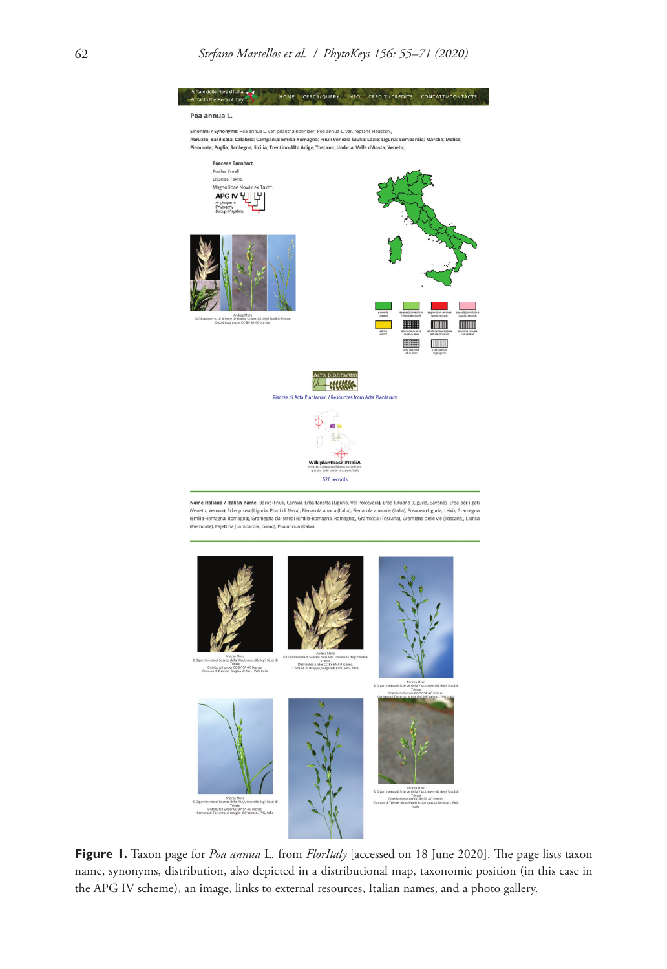



Antinea Moro<br>Antinea di Scienze della Vita, Università degli Studi di<br>Distributed under CC 8Y-5A 4.0 license.<br>Inte di Trieste, Morte Valerio, Campus Universitari., PVG.<br>Italia

**Figure 1.** Taxon page for *Poa annua* L. from *FlorItaly* [accessed on 18 June 2020]. The page lists taxon name, synonyms, distribution, also depicted in a distributional map, taxonomic position (in this case in the APG IV scheme), an image, links to external resources, Italian names, and a photo gallery.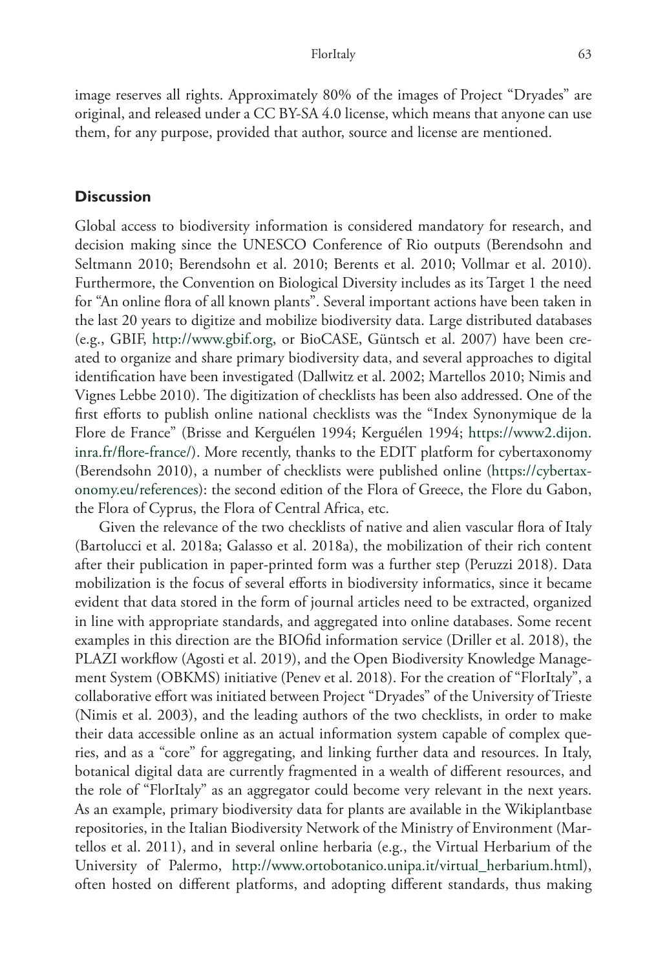image reserves all rights. Approximately 80% of the images of Project "Dryades" are original, and released under a CC BY-SA 4.0 license, which means that anyone can use them, for any purpose, provided that author, source and license are mentioned.

## **Discussion**

Global access to biodiversity information is considered mandatory for research, and decision making since the UNESCO Conference of Rio outputs (Berendsohn and Seltmann 2010; Berendsohn et al. 2010; Berents et al. 2010; Vollmar et al. 2010). Furthermore, the Convention on Biological Diversity includes as its Target 1 the need for "An online flora of all known plants". Several important actions have been taken in the last 20 years to digitize and mobilize biodiversity data. Large distributed databases (e.g., GBIF, <http://www.gbif.org>, or BioCASE, Güntsch et al. 2007) have been created to organize and share primary biodiversity data, and several approaches to digital identification have been investigated (Dallwitz et al. 2002; Martellos 2010; Nimis and Vignes Lebbe 2010). The digitization of checklists has been also addressed. One of the first efforts to publish online national checklists was the "Index Synonymique de la Flore de France" (Brisse and Kerguélen 1994; Kerguélen 1994; [https://www2.dijon.](https://www2.dijon.inra.fr/flore-france/) [inra.fr/flore-france/](https://www2.dijon.inra.fr/flore-france/)). More recently, thanks to the EDIT platform for cybertaxonomy (Berendsohn 2010), a number of checklists were published online ([https://cybertax](https://cybertaxonomy.eu/references)[onomy.eu/references](https://cybertaxonomy.eu/references)): the second edition of the Flora of Greece, the Flore du Gabon, the Flora of Cyprus, the Flora of Central Africa, etc.

Given the relevance of the two checklists of native and alien vascular flora of Italy (Bartolucci et al. 2018a; Galasso et al. 2018a), the mobilization of their rich content after their publication in paper-printed form was a further step (Peruzzi 2018). Data mobilization is the focus of several efforts in biodiversity informatics, since it became evident that data stored in the form of journal articles need to be extracted, organized in line with appropriate standards, and aggregated into online databases. Some recent examples in this direction are the BIOfid information service (Driller et al. 2018), the PLAZI workflow (Agosti et al. 2019), and the Open Biodiversity Knowledge Management System (OBKMS) initiative (Penev et al. 2018). For the creation of "FlorItaly", a collaborative effort was initiated between Project "Dryades" of the University of Trieste (Nimis et al. 2003), and the leading authors of the two checklists, in order to make their data accessible online as an actual information system capable of complex queries, and as a "core" for aggregating, and linking further data and resources. In Italy, botanical digital data are currently fragmented in a wealth of different resources, and the role of "FlorItaly" as an aggregator could become very relevant in the next years. As an example, primary biodiversity data for plants are available in the Wikiplantbase repositories, in the Italian Biodiversity Network of the Ministry of Environment (Martellos et al. 2011), and in several online herbaria (e.g., the Virtual Herbarium of the University of Palermo, [http://www.ortobotanico.unipa.it/virtual\\_herbarium.html](http://www.ortobotanico.unipa.it/virtual_herbarium.html)), often hosted on different platforms, and adopting different standards, thus making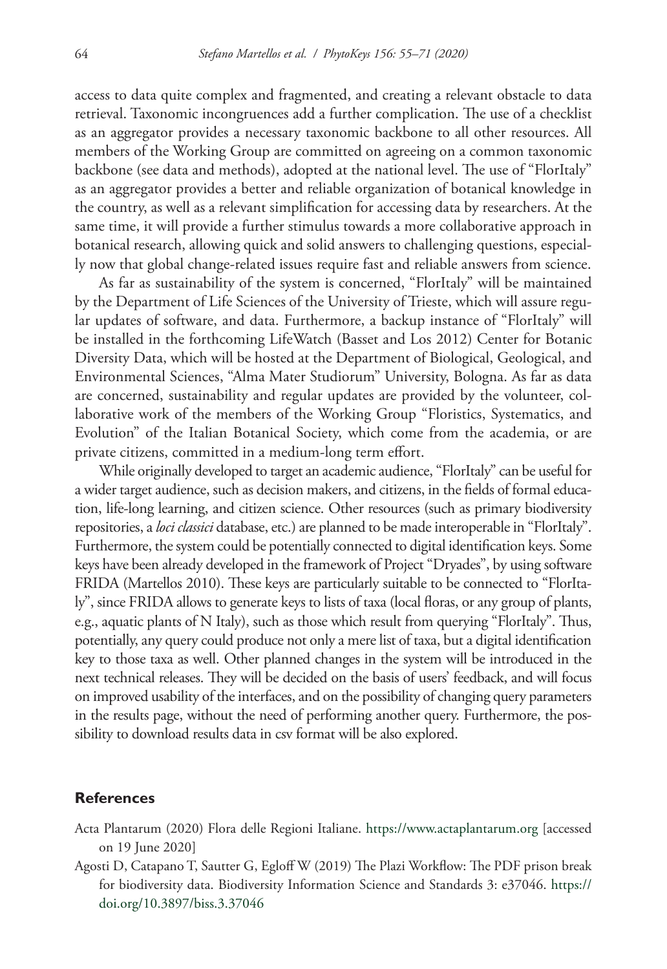access to data quite complex and fragmented, and creating a relevant obstacle to data retrieval. Taxonomic incongruences add a further complication. The use of a checklist as an aggregator provides a necessary taxonomic backbone to all other resources. All members of the Working Group are committed on agreeing on a common taxonomic backbone (see data and methods), adopted at the national level. The use of "FlorItaly" as an aggregator provides a better and reliable organization of botanical knowledge in the country, as well as a relevant simplification for accessing data by researchers. At the same time, it will provide a further stimulus towards a more collaborative approach in botanical research, allowing quick and solid answers to challenging questions, especially now that global change-related issues require fast and reliable answers from science.

As far as sustainability of the system is concerned, "FlorItaly" will be maintained by the Department of Life Sciences of the University of Trieste, which will assure regular updates of software, and data. Furthermore, a backup instance of "FlorItaly" will be installed in the forthcoming LifeWatch (Basset and Los 2012) Center for Botanic Diversity Data, which will be hosted at the Department of Biological, Geological, and Environmental Sciences, "Alma Mater Studiorum" University, Bologna. As far as data are concerned, sustainability and regular updates are provided by the volunteer, collaborative work of the members of the Working Group "Floristics, Systematics, and Evolution" of the Italian Botanical Society, which come from the academia, or are private citizens, committed in a medium-long term effort.

While originally developed to target an academic audience, "FlorItaly" can be useful for a wider target audience, such as decision makers, and citizens, in the fields of formal education, life-long learning, and citizen science. Other resources (such as primary biodiversity repositories, a *loci classici* database, etc.) are planned to be made interoperable in "FlorItaly". Furthermore, the system could be potentially connected to digital identification keys. Some keys have been already developed in the framework of Project "Dryades", by using software FRIDA (Martellos 2010). These keys are particularly suitable to be connected to "FlorItaly", since FRIDA allows to generate keys to lists of taxa (local floras, or any group of plants, e.g., aquatic plants of N Italy), such as those which result from querying "FlorItaly". Thus, potentially, any query could produce not only a mere list of taxa, but a digital identification key to those taxa as well. Other planned changes in the system will be introduced in the next technical releases. They will be decided on the basis of users' feedback, and will focus on improved usability of the interfaces, and on the possibility of changing query parameters in the results page, without the need of performing another query. Furthermore, the possibility to download results data in csv format will be also explored.

## **References**

- Acta Plantarum (2020) Flora delle Regioni Italiane. <https://www.actaplantarum.org>[accessed on 19 June 2020]
- Agosti D, Catapano T, Sautter G, Egloff W (2019) The Plazi Workflow: The PDF prison break for biodiversity data. Biodiversity Information Science and Standards 3: e37046. [https://](https://doi.org/10.3897/biss.3.37046) [doi.org/10.3897/biss.3.37046](https://doi.org/10.3897/biss.3.37046)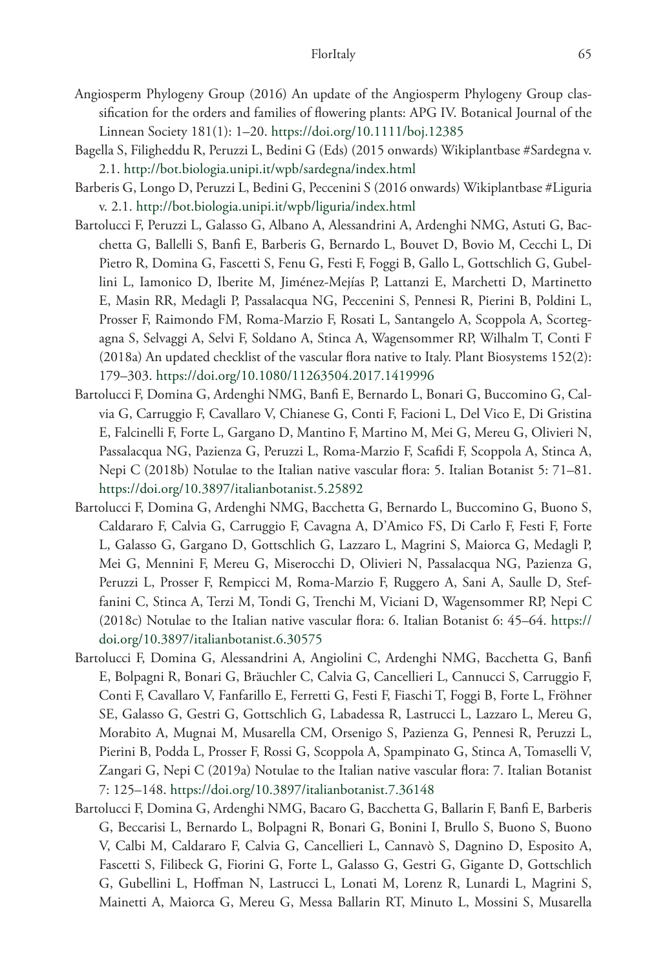- Angiosperm Phylogeny Group (2016) An update of the Angiosperm Phylogeny Group classification for the orders and families of flowering plants: APG IV. Botanical Journal of the Linnean Society 181(1): 1–20.<https://doi.org/10.1111/boj.12385>
- Bagella S, Filigheddu R, Peruzzi L, Bedini G (Eds) (2015 onwards) Wikiplantbase #Sardegna v. 2.1. <http://bot.biologia.unipi.it/wpb/sardegna/index.html>
- Barberis G, Longo D, Peruzzi L, Bedini G, Peccenini S (2016 onwards) Wikiplantbase #Liguria v. 2.1. <http://bot.biologia.unipi.it/wpb/liguria/index.html>
- Bartolucci F, Peruzzi L, Galasso G, Albano A, Alessandrini A, Ardenghi NMG, Astuti G, Bacchetta G, Ballelli S, Banfi E, Barberis G, Bernardo L, Bouvet D, Bovio M, Cecchi L, Di Pietro R, Domina G, Fascetti S, Fenu G, Festi F, Foggi B, Gallo L, Gottschlich G, Gubellini L, Iamonico D, Iberite M, Jiménez-Mejías P, Lattanzi E, Marchetti D, Martinetto E, Masin RR, Medagli P, Passalacqua NG, Peccenini S, Pennesi R, Pierini B, Poldini L, Prosser F, Raimondo FM, Roma-Marzio F, Rosati L, Santangelo A, Scoppola A, Scortegagna S, Selvaggi A, Selvi F, Soldano A, Stinca A, Wagensommer RP, Wilhalm T, Conti F (2018a) An updated checklist of the vascular flora native to Italy. Plant Biosystems 152(2): 179–303.<https://doi.org/10.1080/11263504.2017.1419996>
- Bartolucci F, Domina G, Ardenghi NMG, Banfi E, Bernardo L, Bonari G, Buccomino G, Calvia G, Carruggio F, Cavallaro V, Chianese G, Conti F, Facioni L, Del Vico E, Di Gristina E, Falcinelli F, Forte L, Gargano D, Mantino F, Martino M, Mei G, Mereu G, Olivieri N, Passalacqua NG, Pazienza G, Peruzzi L, Roma-Marzio F, Scafidi F, Scoppola A, Stinca A, Nepi C (2018b) Notulae to the Italian native vascular flora: 5. Italian Botanist 5: 71–81. <https://doi.org/10.3897/italianbotanist.5.25892>
- Bartolucci F, Domina G, Ardenghi NMG, Bacchetta G, Bernardo L, Buccomino G, Buono S, Caldararo F, Calvia G, Carruggio F, Cavagna A, D'Amico FS, Di Carlo F, Festi F, Forte L, Galasso G, Gargano D, Gottschlich G, Lazzaro L, Magrini S, Maiorca G, Medagli P, Mei G, Mennini F, Mereu G, Miserocchi D, Olivieri N, Passalacqua NG, Pazienza G, Peruzzi L, Prosser F, Rempicci M, Roma-Marzio F, Ruggero A, Sani A, Saulle D, Steffanini C, Stinca A, Terzi M, Tondi G, Trenchi M, Viciani D, Wagensommer RP, Nepi C (2018c) Notulae to the Italian native vascular flora: 6. Italian Botanist 6: 45–64. [https://](https://doi.org/10.3897/italianbotanist.6.30575) [doi.org/10.3897/italianbotanist.6.30575](https://doi.org/10.3897/italianbotanist.6.30575)
- Bartolucci F, Domina G, Alessandrini A, Angiolini C, Ardenghi NMG, Bacchetta G, Banfi E, Bolpagni R, Bonari G, Bräuchler C, Calvia G, Cancellieri L, Cannucci S, Carruggio F, Conti F, Cavallaro V, Fanfarillo E, Ferretti G, Festi F, Fiaschi T, Foggi B, Forte L, Fröhner SE, Galasso G, Gestri G, Gottschlich G, Labadessa R, Lastrucci L, Lazzaro L, Mereu G, Morabito A, Mugnai M, Musarella CM, Orsenigo S, Pazienza G, Pennesi R, Peruzzi L, Pierini B, Podda L, Prosser F, Rossi G, Scoppola A, Spampinato G, Stinca A, Tomaselli V, Zangari G, Nepi C (2019a) Notulae to the Italian native vascular flora: 7. Italian Botanist 7: 125–148.<https://doi.org/10.3897/italianbotanist.7.36148>
- Bartolucci F, Domina G, Ardenghi NMG, Bacaro G, Bacchetta G, Ballarin F, Banfi E, Barberis G, Beccarisi L, Bernardo L, Bolpagni R, Bonari G, Bonini I, Brullo S, Buono S, Buono V, Calbi M, Caldararo F, Calvia G, Cancellieri L, Cannavò S, Dagnino D, Esposito A, Fascetti S, Filibeck G, Fiorini G, Forte L, Galasso G, Gestri G, Gigante D, Gottschlich G, Gubellini L, Hoffman N, Lastrucci L, Lonati M, Lorenz R, Lunardi L, Magrini S, Mainetti A, Maiorca G, Mereu G, Messa Ballarin RT, Minuto L, Mossini S, Musarella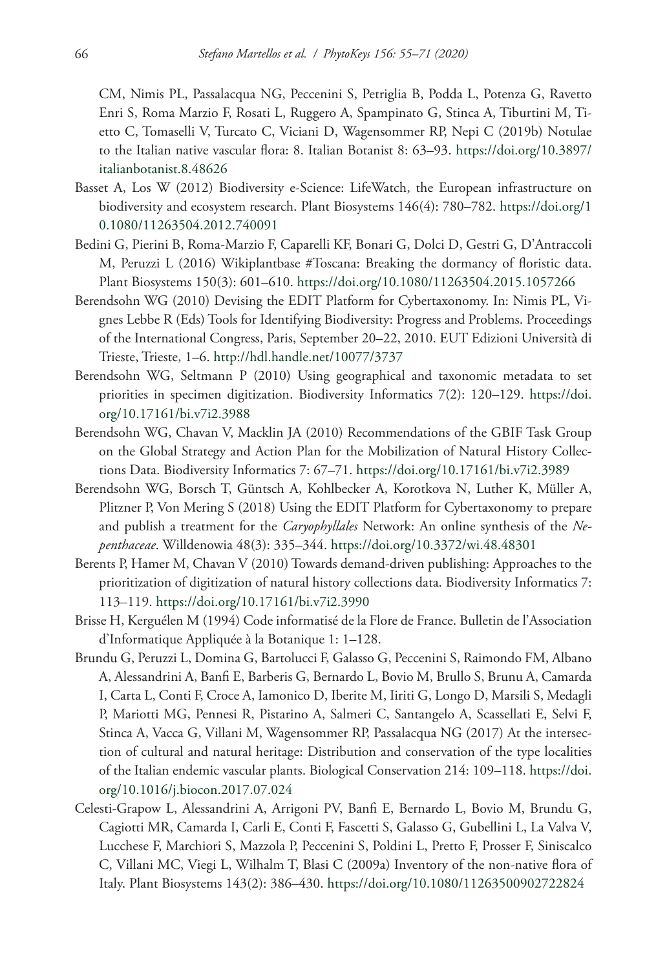CM, Nimis PL, Passalacqua NG, Peccenini S, Petriglia B, Podda L, Potenza G, Ravetto Enri S, Roma Marzio F, Rosati L, Ruggero A, Spampinato G, Stinca A, Tiburtini M, Tietto C, Tomaselli V, Turcato C, Viciani D, Wagensommer RP, Nepi C (2019b) Notulae to the Italian native vascular flora: 8. Italian Botanist 8: 63–93. [https://doi.org/10.3897/](https://doi.org/10.3897/italianbotanist.8.48626) [italianbotanist.8.48626](https://doi.org/10.3897/italianbotanist.8.48626)

- Basset A, Los W (2012) Biodiversity e‐Science: LifeWatch, the European infrastructure on biodiversity and ecosystem research. Plant Biosystems 146(4): 780–782. [https://doi.org/1](https://doi.org/10.1080/11263504.2012.740091) [0.1080/11263504.2012.740091](https://doi.org/10.1080/11263504.2012.740091)
- Bedini G, Pierini B, Roma-Marzio F, Caparelli KF, Bonari G, Dolci D, Gestri G, D'Antraccoli M, Peruzzi L (2016) Wikiplantbase #Toscana: Breaking the dormancy of floristic data. Plant Biosystems 150(3): 601–610.<https://doi.org/10.1080/11263504.2015.1057266>
- Berendsohn WG (2010) Devising the EDIT Platform for Cybertaxonomy. In: Nimis PL, Vignes Lebbe R (Eds) Tools for Identifying Biodiversity: Progress and Problems. Proceedings of the International Congress, Paris, September 20–22, 2010. EUT Edizioni Università di Trieste, Trieste, 1–6. <http://hdl.handle.net/10077/3737>
- Berendsohn WG, Seltmann P (2010) Using geographical and taxonomic metadata to set priorities in specimen digitization. Biodiversity Informatics 7(2): 120–129. [https://doi.](https://doi.org/10.17161/bi.v7i2.3988) [org/10.17161/bi.v7i2.3988](https://doi.org/10.17161/bi.v7i2.3988)
- Berendsohn WG, Chavan V, Macklin JA (2010) Recommendations of the GBIF Task Group on the Global Strategy and Action Plan for the Mobilization of Natural History Collections Data. Biodiversity Informatics 7: 67–71. <https://doi.org/10.17161/bi.v7i2.3989>
- Berendsohn WG, Borsch T, Güntsch A, Kohlbecker A, Korotkova N, Luther K, Müller A, Plitzner P, Von Mering S (2018) Using the EDIT Platform for Cybertaxonomy to prepare and publish a treatment for the *Caryophyllales* Network: An online synthesis of the *Nepenthaceae*. Willdenowia 48(3): 335–344.<https://doi.org/10.3372/wi.48.48301>
- Berents P, Hamer M, Chavan V (2010) Towards demand-driven publishing: Approaches to the prioritization of digitization of natural history collections data. Biodiversity Informatics 7: 113–119.<https://doi.org/10.17161/bi.v7i2.3990>
- Brisse H, Kerguélen M (1994) Code informatisé de la Flore de France. Bulletin de l'Association d'Informatique Appliquée à la Botanique 1: 1–128.
- Brundu G, Peruzzi L, Domina G, Bartolucci F, Galasso G, Peccenini S, Raimondo FM, Albano A, Alessandrini A, Banfi E, Barberis G, Bernardo L, Bovio M, Brullo S, Brunu A, Camarda I, Carta L, Conti F, Croce A, Iamonico D, Iberite M, Iiriti G, Longo D, Marsili S, Medagli P, Mariotti MG, Pennesi R, Pistarino A, Salmeri C, Santangelo A, Scassellati E, Selvi F, Stinca A, Vacca G, Villani M, Wagensommer RP, Passalacqua NG (2017) At the intersection of cultural and natural heritage: Distribution and conservation of the type localities of the Italian endemic vascular plants. Biological Conservation 214: 109–118. [https://doi.](https://doi.org/10.1016/j.biocon.2017.07.024) [org/10.1016/j.biocon.2017.07.024](https://doi.org/10.1016/j.biocon.2017.07.024)
- Celesti-Grapow L, Alessandrini A, Arrigoni PV, Banfi E, Bernardo L, Bovio M, Brundu G, Cagiotti MR, Camarda I, Carli E, Conti F, Fascetti S, Galasso G, Gubellini L, La Valva V, Lucchese F, Marchiori S, Mazzola P, Peccenini S, Poldini L, Pretto F, Prosser F, Siniscalco C, Villani MC, Viegi L, Wilhalm T, Blasi C (2009a) Inventory of the non-native flora of Italy. Plant Biosystems 143(2): 386–430. <https://doi.org/10.1080/11263500902722824>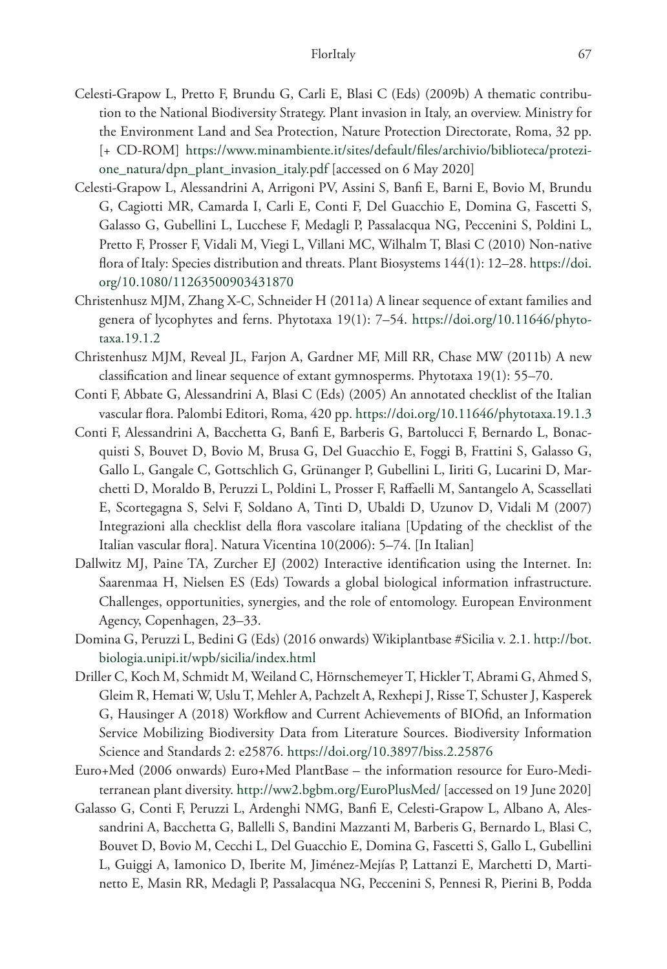- Celesti-Grapow L, Pretto F, Brundu G, Carli E, Blasi C (Eds) (2009b) A thematic contribution to the National Biodiversity Strategy. Plant invasion in Italy, an overview. Ministry for the Environment Land and Sea Protection, Nature Protection Directorate, Roma, 32 pp. [+ CD-ROM] [https://www.minambiente.it/sites/default/files/archivio/biblioteca/protezi](https://www.minambiente.it/sites/default/files/archivio/biblioteca/protezione_natura/dpn_plant_invasion_italy.pdf)[one\\_natura/dpn\\_plant\\_invasion\\_italy.pdf](https://www.minambiente.it/sites/default/files/archivio/biblioteca/protezione_natura/dpn_plant_invasion_italy.pdf) [accessed on 6 May 2020]
- Celesti-Grapow L, Alessandrini A, Arrigoni PV, Assini S, Banfi E, Barni E, Bovio M, Brundu G, Cagiotti MR, Camarda I, Carli E, Conti F, Del Guacchio E, Domina G, Fascetti S, Galasso G, Gubellini L, Lucchese F, Medagli P, Passalacqua NG, Peccenini S, Poldini L, Pretto F, Prosser F, Vidali M, Viegi L, Villani MC, Wilhalm T, Blasi C (2010) Non-native flora of Italy: Species distribution and threats. Plant Biosystems 144(1): 12–28. [https://doi.](https://doi.org/10.1080/11263500903431870) [org/10.1080/11263500903431870](https://doi.org/10.1080/11263500903431870)
- Christenhusz MJM, Zhang X-C, Schneider H (2011a) A linear sequence of extant families and genera of lycophytes and ferns. Phytotaxa 19(1): 7–54. [https://doi.org/10.11646/phyto](https://doi.org/10.11646/phytotaxa.19.1.2)[taxa.19.1.2](https://doi.org/10.11646/phytotaxa.19.1.2)
- Christenhusz MJM, Reveal JL, Farjon A, Gardner MF, Mill RR, Chase MW (2011b) A new classification and linear sequence of extant gymnosperms. Phytotaxa 19(1): 55–70.
- Conti F, Abbate G, Alessandrini A, Blasi C (Eds) (2005) An annotated checklist of the Italian vascular flora. Palombi Editori, Roma, 420 pp.<https://doi.org/10.11646/phytotaxa.19.1.3>
- Conti F, Alessandrini A, Bacchetta G, Banfi E, Barberis G, Bartolucci F, Bernardo L, Bonacquisti S, Bouvet D, Bovio M, Brusa G, Del Guacchio E, Foggi B, Frattini S, Galasso G, Gallo L, Gangale C, Gottschlich G, Grünanger P, Gubellini L, Iiriti G, Lucarini D, Marchetti D, Moraldo B, Peruzzi L, Poldini L, Prosser F, Raffaelli M, Santangelo A, Scassellati E, Scortegagna S, Selvi F, Soldano A, Tinti D, Ubaldi D, Uzunov D, Vidali M (2007) Integrazioni alla checklist della flora vascolare italiana [Updating of the checklist of the Italian vascular flora]. Natura Vicentina 10(2006): 5–74. [In Italian]
- Dallwitz MJ, Paine TA, Zurcher EJ (2002) Interactive identification using the Internet. In: Saarenmaa H, Nielsen ES (Eds) Towards a global biological information infrastructure. Challenges, opportunities, synergies, and the role of entomology. European Environment Agency, Copenhagen, 23–33.
- Domina G, Peruzzi L, Bedini G (Eds) (2016 onwards) Wikiplantbase #Sicilia v. 2.1. [http://bot.](http://bot.biologia.unipi.it/wpb/sicilia/index.html) [biologia.unipi.it/wpb/sicilia/index.html](http://bot.biologia.unipi.it/wpb/sicilia/index.html)
- Driller C, Koch M, Schmidt M, Weiland C, Hörnschemeyer T, Hickler T, Abrami G, Ahmed S, Gleim R, Hemati W, Uslu T, Mehler A, Pachzelt A, Rexhepi J, Risse T, Schuster J, Kasperek G, Hausinger A (2018) Workflow and Current Achievements of BIOfid, an Information Service Mobilizing Biodiversity Data from Literature Sources. Biodiversity Information Science and Standards 2: e25876. <https://doi.org/10.3897/biss.2.25876>
- Euro+Med (2006 onwards) Euro+Med PlantBase the information resource for Euro-Mediterranean plant diversity.<http://ww2.bgbm.org/EuroPlusMed/> [accessed on 19 June 2020]
- Galasso G, Conti F, Peruzzi L, Ardenghi NMG, Banfi E, Celesti-Grapow L, Albano A, Alessandrini A, Bacchetta G, Ballelli S, Bandini Mazzanti M, Barberis G, Bernardo L, Blasi C, Bouvet D, Bovio M, Cecchi L, Del Guacchio E, Domina G, Fascetti S, Gallo L, Gubellini L, Guiggi A, Iamonico D, Iberite M, Jiménez-Mejías P, Lattanzi E, Marchetti D, Martinetto E, Masin RR, Medagli P, Passalacqua NG, Peccenini S, Pennesi R, Pierini B, Podda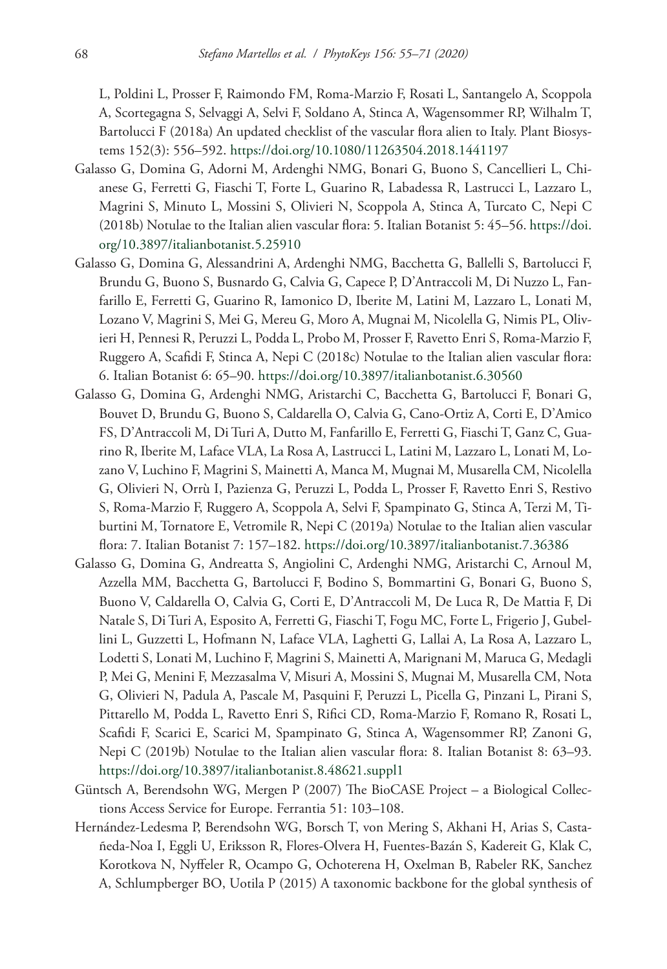L, Poldini L, Prosser F, Raimondo FM, Roma-Marzio F, Rosati L, Santangelo A, Scoppola A, Scortegagna S, Selvaggi A, Selvi F, Soldano A, Stinca A, Wagensommer RP, Wilhalm T, Bartolucci F (2018a) An updated checklist of the vascular flora alien to Italy. Plant Biosystems 152(3): 556–592.<https://doi.org/10.1080/11263504.2018.1441197>

- Galasso G, Domina G, Adorni M, Ardenghi NMG, Bonari G, Buono S, Cancellieri L, Chianese G, Ferretti G, Fiaschi T, Forte L, Guarino R, Labadessa R, Lastrucci L, Lazzaro L, Magrini S, Minuto L, Mossini S, Olivieri N, Scoppola A, Stinca A, Turcato C, Nepi C (2018b) Notulae to the Italian alien vascular flora: 5. Italian Botanist 5: 45–56. [https://doi.](https://doi.org/10.3897/italianbotanist.5.25910) [org/10.3897/italianbotanist.5.25910](https://doi.org/10.3897/italianbotanist.5.25910)
- Galasso G, Domina G, Alessandrini A, Ardenghi NMG, Bacchetta G, Ballelli S, Bartolucci F, Brundu G, Buono S, Busnardo G, Calvia G, Capece P, D'Antraccoli M, Di Nuzzo L, Fanfarillo E, Ferretti G, Guarino R, Iamonico D, Iberite M, Latini M, Lazzaro L, Lonati M, Lozano V, Magrini S, Mei G, Mereu G, Moro A, Mugnai M, Nicolella G, Nimis PL, Olivieri H, Pennesi R, Peruzzi L, Podda L, Probo M, Prosser F, Ravetto Enri S, Roma-Marzio F, Ruggero A, Scafidi F, Stinca A, Nepi C (2018c) Notulae to the Italian alien vascular flora: 6. Italian Botanist 6: 65–90.<https://doi.org/10.3897/italianbotanist.6.30560>
- Galasso G, Domina G, Ardenghi NMG, Aristarchi C, Bacchetta G, Bartolucci F, Bonari G, Bouvet D, Brundu G, Buono S, Caldarella O, Calvia G, Cano-Ortiz A, Corti E, D'Amico FS, D'Antraccoli M, Di Turi A, Dutto M, Fanfarillo E, Ferretti G, Fiaschi T, Ganz C, Guarino R, Iberite M, Laface VLA, La Rosa A, Lastrucci L, Latini M, Lazzaro L, Lonati M, Lozano V, Luchino F, Magrini S, Mainetti A, Manca M, Mugnai M, Musarella CM, Nicolella G, Olivieri N, Orrù I, Pazienza G, Peruzzi L, Podda L, Prosser F, Ravetto Enri S, Restivo S, Roma-Marzio F, Ruggero A, Scoppola A, Selvi F, Spampinato G, Stinca A, Terzi M, Tiburtini M, Tornatore E, Vetromile R, Nepi C (2019a) Notulae to the Italian alien vascular flora: 7. Italian Botanist 7: 157–182. <https://doi.org/10.3897/italianbotanist.7.36386>
- Galasso G, Domina G, Andreatta S, Angiolini C, Ardenghi NMG, Aristarchi C, Arnoul M, Azzella MM, Bacchetta G, Bartolucci F, Bodino S, Bommartini G, Bonari G, Buono S, Buono V, Caldarella O, Calvia G, Corti E, D'Antraccoli M, De Luca R, De Mattia F, Di Natale S, Di Turi A, Esposito A, Ferretti G, Fiaschi T, Fogu MC, Forte L, Frigerio J, Gubellini L, Guzzetti L, Hofmann N, Laface VLA, Laghetti G, Lallai A, La Rosa A, Lazzaro L, Lodetti S, Lonati M, Luchino F, Magrini S, Mainetti A, Marignani M, Maruca G, Medagli P, Mei G, Menini F, Mezzasalma V, Misuri A, Mossini S, Mugnai M, Musarella CM, Nota G, Olivieri N, Padula A, Pascale M, Pasquini F, Peruzzi L, Picella G, Pinzani L, Pirani S, Pittarello M, Podda L, Ravetto Enri S, Rifici CD, Roma-Marzio F, Romano R, Rosati L, Scafidi F, Scarici E, Scarici M, Spampinato G, Stinca A, Wagensommer RP, Zanoni G, Nepi C (2019b) Notulae to the Italian alien vascular flora: 8. Italian Botanist 8: 63–93. <https://doi.org/10.3897/italianbotanist.8.48621.suppl1>
- Güntsch A, Berendsohn WG, Mergen P (2007) The BioCASE Project a Biological Collections Access Service for Europe. Ferrantia 51: 103–108.
- Hernández-Ledesma P, Berendsohn WG, Borsch T, von Mering S, Akhani H, Arias S, Castañeda-Noa I, Eggli U, Eriksson R, Flores-Olvera H, Fuentes-Bazán S, Kadereit G, Klak C, Korotkova N, Nyffeler R, Ocampo G, Ochoterena H, Oxelman B, Rabeler RK, Sanchez A, Schlumpberger BO, Uotila P (2015) A taxonomic backbone for the global synthesis of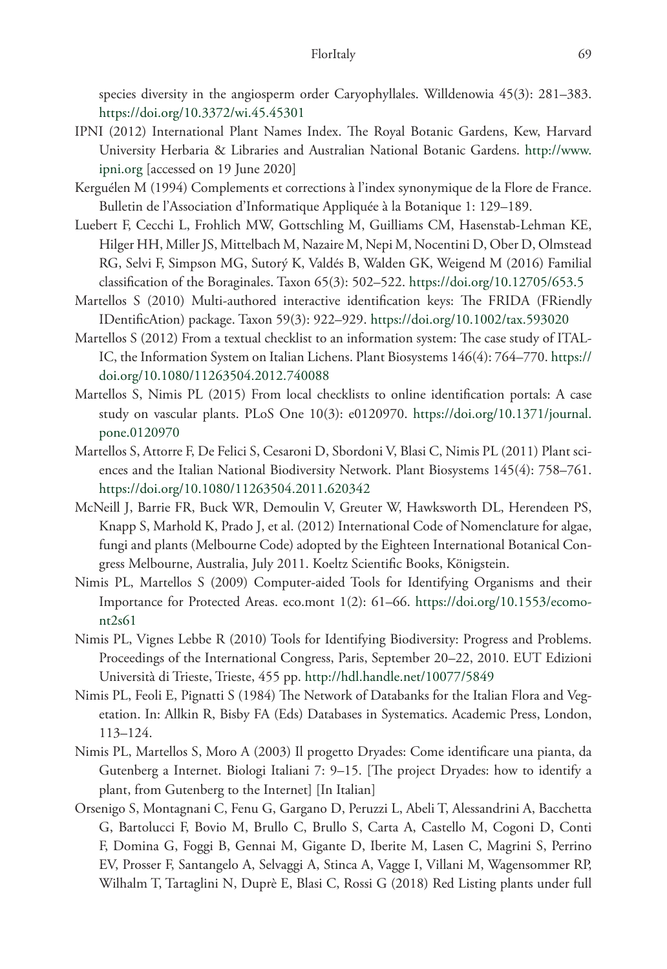species diversity in the angiosperm order Caryophyllales. Willdenowia 45(3): 281–383. <https://doi.org/10.3372/wi.45.45301>

- IPNI (2012) International Plant Names Index. The Royal Botanic Gardens, Kew, Harvard University Herbaria & Libraries and Australian National Botanic Gardens. [http://www.](http://www.ipni.org) [ipni.org](http://www.ipni.org) [accessed on 19 June 2020]
- Kerguélen M (1994) Complements et corrections à l'index synonymique de la Flore de France. Bulletin de l'Association d'Informatique Appliquée à la Botanique 1: 129–189.
- Luebert F, Cecchi L, Frohlich MW, Gottschling M, Guilliams CM, Hasenstab-Lehman KE, Hilger HH, Miller JS, Mittelbach M, Nazaire M, Nepi M, Nocentini D, Ober D, Olmstead RG, Selvi F, Simpson MG, Sutorý K, Valdés B, Walden GK, Weigend M (2016) Familial classification of the Boraginales. Taxon 65(3): 502–522.<https://doi.org/10.12705/653.5>
- Martellos S (2010) Multi-authored interactive identification keys: The FRIDA (FRiendly IDentificAtion) package. Taxon 59(3): 922–929.<https://doi.org/10.1002/tax.593020>
- Martellos S (2012) From a textual checklist to an information system: The case study of ITAL-IC, the Information System on Italian Lichens. Plant Biosystems 146(4): 764–770. [https://](https://doi.org/10.1080/11263504.2012.740088) [doi.org/10.1080/11263504.2012.740088](https://doi.org/10.1080/11263504.2012.740088)
- Martellos S, Nimis PL (2015) From local checklists to online identification portals: A case study on vascular plants. PLoS One 10(3): e0120970. [https://doi.org/10.1371/journal.](https://doi.org/10.1371/journal.pone.0120970) [pone.0120970](https://doi.org/10.1371/journal.pone.0120970)
- Martellos S, Attorre F, De Felici S, Cesaroni D, Sbordoni V, Blasi C, Nimis PL (2011) Plant sciences and the Italian National Biodiversity Network. Plant Biosystems 145(4): 758–761. <https://doi.org/10.1080/11263504.2011.620342>
- McNeill J, Barrie FR, Buck WR, Demoulin V, Greuter W, Hawksworth DL, Herendeen PS, Knapp S, Marhold K, Prado J, et al. (2012) International Code of Nomenclature for algae, fungi and plants (Melbourne Code) adopted by the Eighteen International Botanical Congress Melbourne, Australia, July 2011. Koeltz Scientific Books, Königstein.
- Nimis PL, Martellos S (2009) Computer-aided Tools for Identifying Organisms and their Importance for Protected Areas. eco.mont 1(2): 61–66. [https://doi.org/10.1553/ecomo](https://doi.org/10.1553/ecomont2s61)[nt2s61](https://doi.org/10.1553/ecomont2s61)
- Nimis PL, Vignes Lebbe R (2010) Tools for Identifying Biodiversity: Progress and Problems. Proceedings of the International Congress, Paris, September 20–22, 2010. EUT Edizioni Università di Trieste, Trieste, 455 pp. <http://hdl.handle.net/10077/5849>
- Nimis PL, Feoli E, Pignatti S (1984) The Network of Databanks for the Italian Flora and Vegetation. In: Allkin R, Bisby FA (Eds) Databases in Systematics. Academic Press, London, 113–124.
- Nimis PL, Martellos S, Moro A (2003) Il progetto Dryades: Come identificare una pianta, da Gutenberg a Internet. Biologi Italiani 7: 9–15. [The project Dryades: how to identify a plant, from Gutenberg to the Internet] [In Italian]
- Orsenigo S, Montagnani C, Fenu G, Gargano D, Peruzzi L, Abeli T, Alessandrini A, Bacchetta G, Bartolucci F, Bovio M, Brullo C, Brullo S, Carta A, Castello M, Cogoni D, Conti F, Domina G, Foggi B, Gennai M, Gigante D, Iberite M, Lasen C, Magrini S, Perrino EV, Prosser F, Santangelo A, Selvaggi A, Stinca A, Vagge I, Villani M, Wagensommer RP, Wilhalm T, Tartaglini N, Duprè E, Blasi C, Rossi G (2018) Red Listing plants under full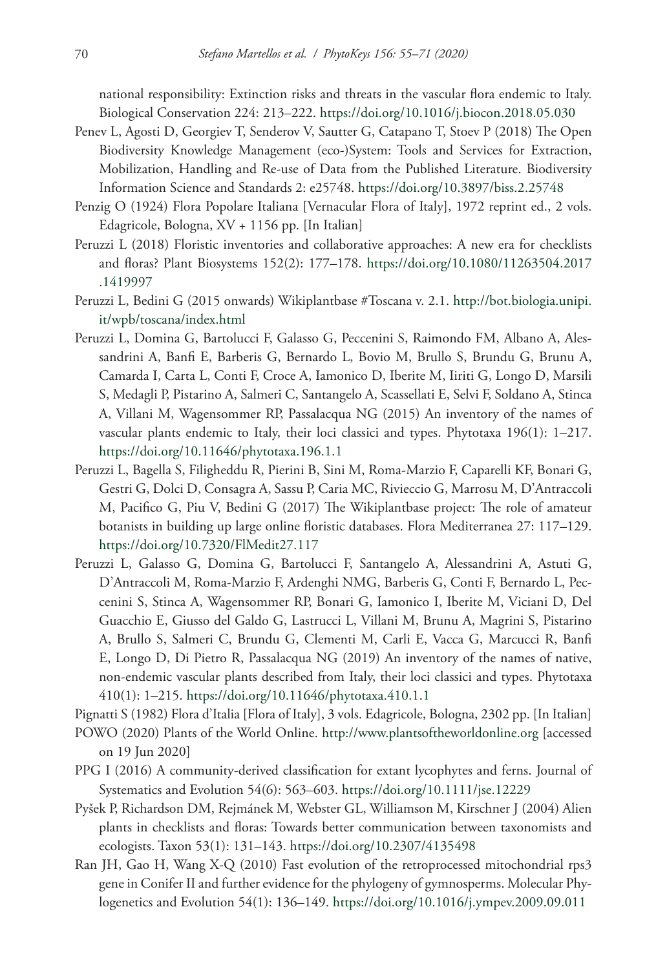national responsibility: Extinction risks and threats in the vascular flora endemic to Italy. Biological Conservation 224: 213–222.<https://doi.org/10.1016/j.biocon.2018.05.030>

- Penev L, Agosti D, Georgiev T, Senderov V, Sautter G, Catapano T, Stoev P (2018) The Open Biodiversity Knowledge Management (eco-)System: Tools and Services for Extraction, Mobilization, Handling and Re-use of Data from the Published Literature. Biodiversity Information Science and Standards 2: e25748.<https://doi.org/10.3897/biss.2.25748>
- Penzig O (1924) Flora Popolare Italiana [Vernacular Flora of Italy], 1972 reprint ed., 2 vols. Edagricole, Bologna, XV + 1156 pp. [In Italian]
- Peruzzi L (2018) Floristic inventories and collaborative approaches: A new era for checklists and floras? Plant Biosystems 152(2): 177–178. [https://doi.org/10.1080/11263504.2017](https://doi.org/10.1080/11263504.2017.1419997) [.1419997](https://doi.org/10.1080/11263504.2017.1419997)
- Peruzzi L, Bedini G (2015 onwards) Wikiplantbase #Toscana v. 2.1. [http://bot.biologia.unipi.](http://bot.biologia.unipi.it/wpb/toscana/index.html) [it/wpb/toscana/index.html](http://bot.biologia.unipi.it/wpb/toscana/index.html)
- Peruzzi L, Domina G, Bartolucci F, Galasso G, Peccenini S, Raimondo FM, Albano A, Alessandrini A, Banfi E, Barberis G, Bernardo L, Bovio M, Brullo S, Brundu G, Brunu A, Camarda I, Carta L, Conti F, Croce A, Iamonico D, Iberite M, Iiriti G, Longo D, Marsili S, Medagli P, Pistarino A, Salmeri C, Santangelo A, Scassellati E, Selvi F, Soldano A, Stinca A, Villani M, Wagensommer RP, Passalacqua NG (2015) An inventory of the names of vascular plants endemic to Italy, their loci classici and types. Phytotaxa 196(1): 1–217. <https://doi.org/10.11646/phytotaxa.196.1.1>
- Peruzzi L, Bagella S, Filigheddu R, Pierini B, Sini M, Roma-Marzio F, Caparelli KF, Bonari G, Gestri G, Dolci D, Consagra A, Sassu P, Caria MC, Rivieccio G, Marrosu M, D'Antraccoli M, Pacifico G, Piu V, Bedini G (2017) The Wikiplantbase project: The role of amateur botanists in building up large online floristic databases. Flora Mediterranea 27: 117–129. <https://doi.org/10.7320/FlMedit27.117>
- Peruzzi L, Galasso G, Domina G, Bartolucci F, Santangelo A, Alessandrini A, Astuti G, D'Antraccoli M, Roma-Marzio F, Ardenghi NMG, Barberis G, Conti F, Bernardo L, Peccenini S, Stinca A, Wagensommer RP, Bonari G, Iamonico I, Iberite M, Viciani D, Del Guacchio E, Giusso del Galdo G, Lastrucci L, Villani M, Brunu A, Magrini S, Pistarino A, Brullo S, Salmeri C, Brundu G, Clementi M, Carli E, Vacca G, Marcucci R, Banfi E, Longo D, Di Pietro R, Passalacqua NG (2019) An inventory of the names of native, non-endemic vascular plants described from Italy, their loci classici and types. Phytotaxa 410(1): 1–215. <https://doi.org/10.11646/phytotaxa.410.1.1>
- Pignatti S (1982) Flora d'Italia [Flora of Italy], 3 vols. Edagricole, Bologna, 2302 pp. [In Italian]
- POWO (2020) Plants of the World Online. <http://www.plantsoftheworldonline.org>[accessed on 19 Jun 2020]
- PPG I (2016) A community-derived classification for extant lycophytes and ferns. Journal of Systematics and Evolution 54(6): 563–603. <https://doi.org/10.1111/jse.12229>
- Pyšek P, Richardson DM, Rejmánek M, Webster GL, Williamson M, Kirschner J (2004) Alien plants in checklists and floras: Towards better communication between taxonomists and ecologists. Taxon 53(1): 131–143. <https://doi.org/10.2307/4135498>
- Ran JH, Gao H, Wang X-Q (2010) Fast evolution of the retroprocessed mitochondrial rps3 gene in Conifer II and further evidence for the phylogeny of gymnosperms. Molecular Phylogenetics and Evolution 54(1): 136–149. <https://doi.org/10.1016/j.ympev.2009.09.011>